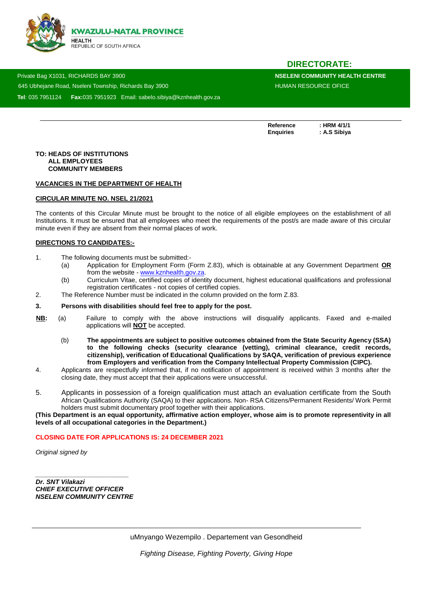

# **DIRECTORATE:**

 Private Bag X1031, RICHARDS BAY 3900 **NSELENI COMMUNITY HEALTH CENTRE**  645 Ubheiane Road, Nseleni Township, Richards Bay 3900 HUMAN RESOURCE OFICE **Tel**: 035 7951124 **Fax:**035 7951923 Email: sabelo.sibiya@kznhealth.gov.za

Reference : HRM 4/1/1<br>Enquiries : A.S Sibiya

**Enquiries : A.S Sibiya**

#### **TO: HEADS OF INSTITUTIONS ALL EMPLOYEES COMMUNITY MEMBERS**

www.knheh.go

#### **VACANCIES IN THE DEPARTMENT OF HEALTH**

### **CIRCULAR MINUTE NO. NSEL 21/2021**

The contents of this Circular Minute must be brought to the notice of all eligible employees on the establishment of all Institutions. It must be ensured that all employees who meet the requirements of the post/s are made aware of this circular minute even if they are absent from their normal places of work.

#### **DIRECTIONS TO CANDIDATES:-**

- 1. The following documents must be submitted:-
	- (a) Application for Employment Form (Form Z.83), which is obtainable at any Government Department **OR** from the website - [www.kznhealth.gov.za.](http://www.kznhealth.gov.za/)
	- (b) Curriculum Vitae, certified copies of identity document, highest educational qualifications and professional registration certificates - not copies of certified copies.
- 2. The Reference Number must be indicated in the column provided on the form Z.83.

#### **3. Persons with disabilities should feel free to apply for the post.**

- **NB:** (a) Failure to comply with the above instructions will disqualify applicants. Faxed and e-mailed applications will **NOT** be accepted.
	- (b) **The appointments are subject to positive outcomes obtained from the State Security Agency (SSA) to the following checks (security clearance (vetting), criminal clearance, credit records, citizenship), verification of Educational Qualifications by SAQA, verification of previous experience from Employers and verification from the Company Intellectual Property Commission (CIPC).**
- 4. Applicants are respectfully informed that, if no notification of appointment is received within 3 months after the closing date, they must accept that their applications were unsuccessful.
- 5. Applicants in possession of a foreign qualification must attach an evaluation certificate from the South African Qualifications Authority (SAQA) to their applications. Non- RSA Citizens/Permanent Residents/ Work Permit holders must submit documentary proof together with their applications.

**(This Department is an equal opportunity, affirmative action employer, whose aim is to promote representivity in all levels of all occupational categories in the Department.)**

#### **CLOSING DATE FOR APPLICATIONS IS: 24 DECEMBER 2021**

*Original signed by* 

*Dr. SNT Vilakazi CHIEF EXECUTIVE OFFICER NSELENI COMMUNITY CENTRE*

*\_\_\_\_\_\_\_\_\_\_\_\_\_\_\_\_\_\_\_\_\_\_\_\_\_\_*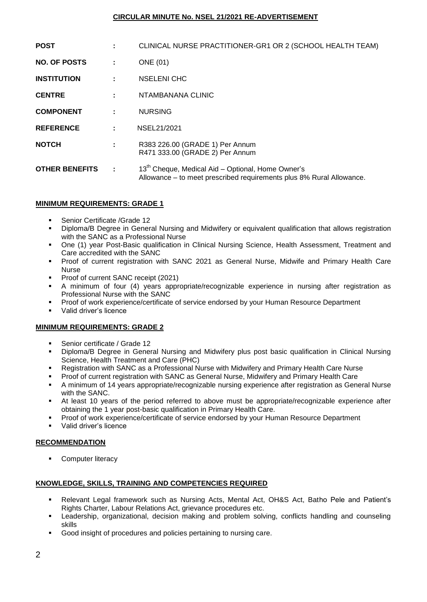# **CIRCULAR MINUTE No. NSEL 21/2021 RE-ADVERTISEMENT**

| <b>POST</b>           |    | CLINICAL NURSE PRACTITIONER-GR1 OR 2 (SCHOOL HEALTH TEAM)                                                                             |
|-----------------------|----|---------------------------------------------------------------------------------------------------------------------------------------|
| <b>NO. OF POSTS</b>   | ÷  | <b>ONE</b> (01)                                                                                                                       |
| <b>INSTITUTION</b>    | ÷  | <b>NSELENI CHC</b>                                                                                                                    |
| <b>CENTRE</b>         |    | NTAMBANANA CLINIC                                                                                                                     |
| <b>COMPONENT</b>      |    | <b>NURSING</b>                                                                                                                        |
| <b>REFERENCE</b>      | ÷. | NSEL21/2021                                                                                                                           |
| <b>NOTCH</b>          | ÷  | R383 226.00 (GRADE 1) Per Annum<br>R471 333.00 (GRADE 2) Per Annum                                                                    |
| <b>OTHER BENEFITS</b> | ÷  | 13 <sup>th</sup> Cheque, Medical Aid – Optional, Home Owner's<br>Allowance – to meet prescribed requirements plus 8% Rural Allowance. |

# **MINIMUM REQUIREMENTS: GRADE 1**

- Senior Certificate /Grade 12
- Diploma/B Degree in General Nursing and Midwifery or equivalent qualification that allows registration with the SANC as a Professional Nurse
- One (1) year Post-Basic qualification in Clinical Nursing Science, Health Assessment, Treatment and Care accredited with the SANC
- Proof of current registration with SANC 2021 as General Nurse, Midwife and Primary Health Care Nurse
- Proof of current SANC receipt (2021)
- A minimum of four (4) years appropriate/recognizable experience in nursing after registration as Professional Nurse with the SANC
- Proof of work experience/certificate of service endorsed by your Human Resource Department
- Valid driver's licence

### **MINIMUM REQUIREMENTS: GRADE 2**

- Senior certificate / Grade 12
- Diploma/B Degree in General Nursing and Midwifery plus post basic qualification in Clinical Nursing Science, Health Treatment and Care (PHC)
- Registration with SANC as a Professional Nurse with Midwifery and Primary Health Care Nurse
- Proof of current registration with SANC as General Nurse, Midwifery and Primary Health Care
- A minimum of 14 years appropriate/recognizable nursing experience after registration as General Nurse with the SANC.
- At least 10 years of the period referred to above must be appropriate/recognizable experience after obtaining the 1 year post-basic qualification in Primary Health Care.
- Proof of work experience/certificate of service endorsed by your Human Resource Department
- Valid driver's licence

### **RECOMMENDATION**

**Computer literacy** 

### **KNOWLEDGE, SKILLS, TRAINING AND COMPETENCIES REQUIRED**

- Relevant Legal framework such as Nursing Acts, Mental Act, OH&S Act, Batho Pele and Patient's Rights Charter, Labour Relations Act, grievance procedures etc.
- Leadership, organizational, decision making and problem solving, conflicts handling and counseling skills
- Good insight of procedures and policies pertaining to nursing care.